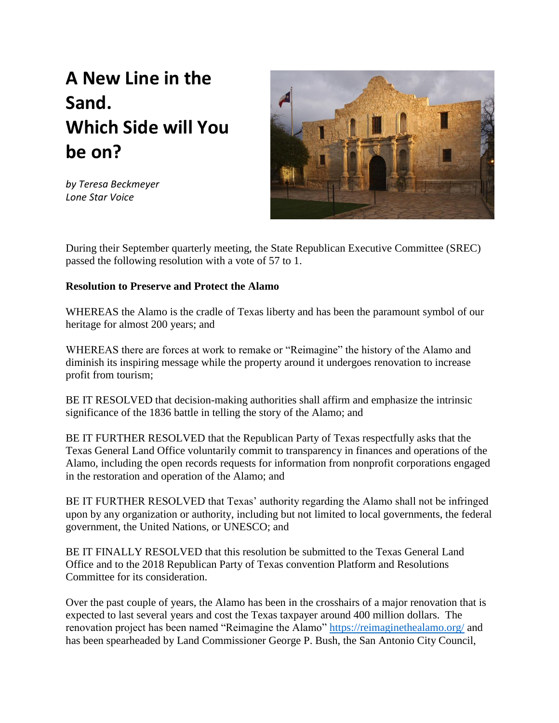## **A New Line in the Sand. Which Side will You be on?**

*by Teresa Beckmeyer Lone Star Voice*



During their September quarterly meeting, the State Republican Executive Committee (SREC) passed the following resolution with a vote of 57 to 1.

## **Resolution to Preserve and Protect the Alamo**

WHEREAS the Alamo is the cradle of Texas liberty and has been the paramount symbol of our heritage for almost 200 years; and

WHEREAS there are forces at work to remake or "Reimagine" the history of the Alamo and diminish its inspiring message while the property around it undergoes renovation to increase profit from tourism;

BE IT RESOLVED that decision-making authorities shall affirm and emphasize the intrinsic significance of the 1836 battle in telling the story of the Alamo; and

BE IT FURTHER RESOLVED that the Republican Party of Texas respectfully asks that the Texas General Land Office voluntarily commit to transparency in finances and operations of the Alamo, including the open records requests for information from nonprofit corporations engaged in the restoration and operation of the Alamo; and

BE IT FURTHER RESOLVED that Texas' authority regarding the Alamo shall not be infringed upon by any organization or authority, including but not limited to local governments, the federal government, the United Nations, or UNESCO; and

BE IT FINALLY RESOLVED that this resolution be submitted to the Texas General Land Office and to the 2018 Republican Party of Texas convention Platform and Resolutions Committee for its consideration.

Over the past couple of years, the Alamo has been in the crosshairs of a major renovation that is expected to last several years and cost the Texas taxpayer around 400 million dollars. The renovation project has been named "Reimagine the Alamo"<https://reimaginethealamo.org/> and has been spearheaded by Land Commissioner George P. Bush, the San Antonio City Council,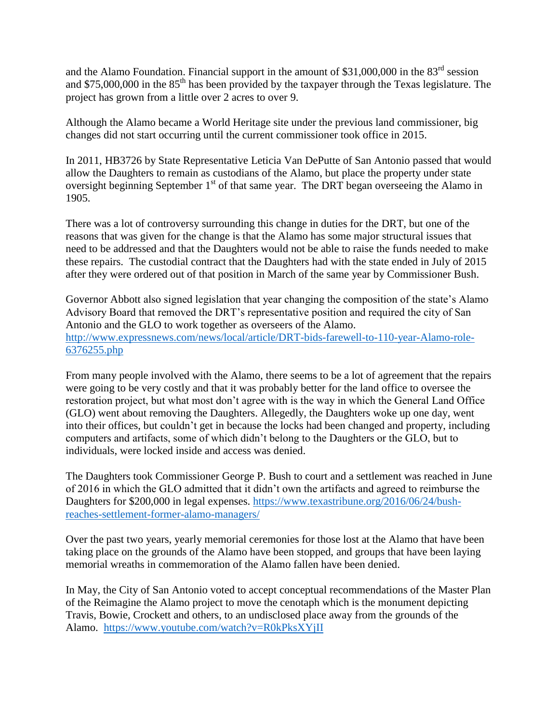and the Alamo Foundation. Financial support in the amount of  $$31,000,000$  in the  $83<sup>rd</sup>$  session and \$75,000,000 in the  $85<sup>th</sup>$  has been provided by the taxpayer through the Texas legislature. The project has grown from a little over 2 acres to over 9.

Although the Alamo became a World Heritage site under the previous land commissioner, big changes did not start occurring until the current commissioner took office in 2015.

In 2011, HB3726 by State Representative Leticia Van DePutte of San Antonio passed that would allow the Daughters to remain as custodians of the Alamo, but place the property under state oversight beginning September 1<sup>st</sup> of that same year. The DRT began overseeing the Alamo in 1905.

There was a lot of controversy surrounding this change in duties for the DRT, but one of the reasons that was given for the change is that the Alamo has some major structural issues that need to be addressed and that the Daughters would not be able to raise the funds needed to make these repairs. The custodial contract that the Daughters had with the state ended in July of 2015 after they were ordered out of that position in March of the same year by Commissioner Bush.

Governor Abbott also signed legislation that year changing the composition of the state's Alamo Advisory Board that removed the DRT's representative position and required the city of San Antonio and the GLO to work together as overseers of the Alamo. [http://www.expressnews.com/news/local/article/DRT-bids-farewell-to-110-year-Alamo-role-](http://www.expressnews.com/news/local/article/DRT-bids-farewell-to-110-year-Alamo-role-6376255.php)[6376255.php](http://www.expressnews.com/news/local/article/DRT-bids-farewell-to-110-year-Alamo-role-6376255.php)

From many people involved with the Alamo, there seems to be a lot of agreement that the repairs were going to be very costly and that it was probably better for the land office to oversee the restoration project, but what most don't agree with is the way in which the General Land Office (GLO) went about removing the Daughters. Allegedly, the Daughters woke up one day, went into their offices, but couldn't get in because the locks had been changed and property, including computers and artifacts, some of which didn't belong to the Daughters or the GLO, but to individuals, were locked inside and access was denied.

The Daughters took Commissioner George P. Bush to court and a settlement was reached in June of 2016 in which the GLO admitted that it didn't own the artifacts and agreed to reimburse the Daughters for \$200,000 in legal expenses. [https://www.texastribune.org/2016/06/24/bush](https://www.texastribune.org/2016/06/24/bush-reaches-settlement-former-alamo-managers/)[reaches-settlement-former-alamo-managers/](https://www.texastribune.org/2016/06/24/bush-reaches-settlement-former-alamo-managers/)

Over the past two years, yearly memorial ceremonies for those lost at the Alamo that have been taking place on the grounds of the Alamo have been stopped, and groups that have been laying memorial wreaths in commemoration of the Alamo fallen have been denied.

In May, the City of San Antonio voted to accept conceptual recommendations of the Master Plan of the Reimagine the Alamo project to move the cenotaph which is the monument depicting Travis, Bowie, Crockett and others, to an undisclosed place away from the grounds of the Alamo. <https://www.youtube.com/watch?v=R0kPksXYjII>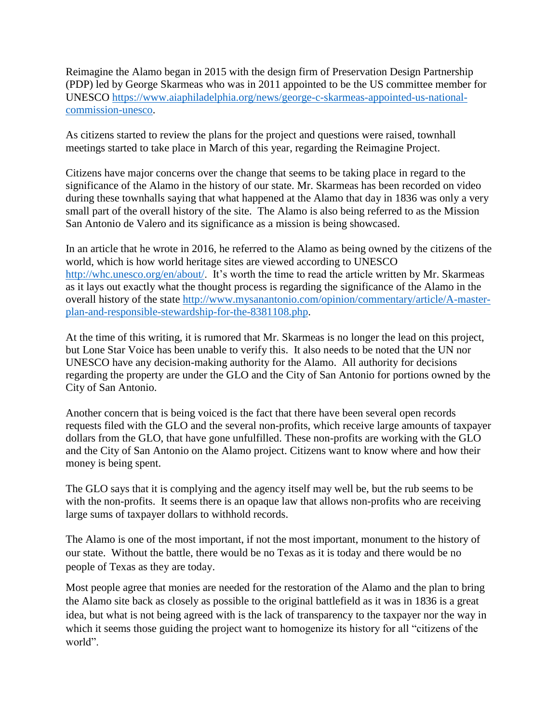Reimagine the Alamo began in 2015 with the design firm of Preservation Design Partnership (PDP) led by George Skarmeas who was in 2011 appointed to be the US committee member for UNESCO [https://www.aiaphiladelphia.org/news/george-c-skarmeas-appointed-us-national](https://www.aiaphiladelphia.org/news/george-c-skarmeas-appointed-us-national-commission-unesco)[commission-unesco.](https://www.aiaphiladelphia.org/news/george-c-skarmeas-appointed-us-national-commission-unesco)

As citizens started to review the plans for the project and questions were raised, townhall meetings started to take place in March of this year, regarding the Reimagine Project.

Citizens have major concerns over the change that seems to be taking place in regard to the significance of the Alamo in the history of our state. Mr. Skarmeas has been recorded on video during these townhalls saying that what happened at the Alamo that day in 1836 was only a very small part of the overall history of the site. The Alamo is also being referred to as the Mission San Antonio de Valero and its significance as a mission is being showcased.

In an article that he wrote in 2016, he referred to the Alamo as being owned by the citizens of the world, which is how world heritage sites are viewed according to UNESCO [http://whc.unesco.org/en/about/.](http://whc.unesco.org/en/about/) It's worth the time to read the article written by Mr. Skarmeas as it lays out exactly what the thought process is regarding the significance of the Alamo in the overall history of the state [http://www.mysanantonio.com/opinion/commentary/article/A-master](http://www.mysanantonio.com/opinion/commentary/article/A-master-plan-and-responsible-stewardship-for-the-8381108.php)[plan-and-responsible-stewardship-for-the-8381108.php.](http://www.mysanantonio.com/opinion/commentary/article/A-master-plan-and-responsible-stewardship-for-the-8381108.php)

At the time of this writing, it is rumored that Mr. Skarmeas is no longer the lead on this project, but Lone Star Voice has been unable to verify this. It also needs to be noted that the UN nor UNESCO have any decision-making authority for the Alamo. All authority for decisions regarding the property are under the GLO and the City of San Antonio for portions owned by the City of San Antonio.

Another concern that is being voiced is the fact that there have been several open records requests filed with the GLO and the several non-profits, which receive large amounts of taxpayer dollars from the GLO, that have gone unfulfilled. These non-profits are working with the GLO and the City of San Antonio on the Alamo project. Citizens want to know where and how their money is being spent.

The GLO says that it is complying and the agency itself may well be, but the rub seems to be with the non-profits. It seems there is an opaque law that allows non-profits who are receiving large sums of taxpayer dollars to withhold records.

The Alamo is one of the most important, if not the most important, monument to the history of our state. Without the battle, there would be no Texas as it is today and there would be no people of Texas as they are today.

Most people agree that monies are needed for the restoration of the Alamo and the plan to bring the Alamo site back as closely as possible to the original battlefield as it was in 1836 is a great idea, but what is not being agreed with is the lack of transparency to the taxpayer nor the way in which it seems those guiding the project want to homogenize its history for all "citizens of the world".